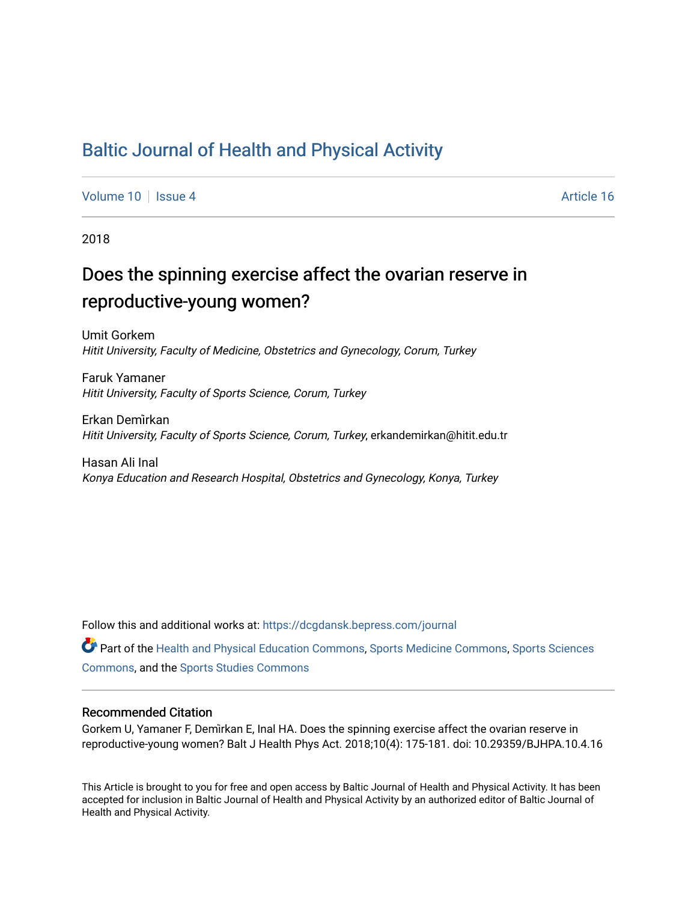### [Baltic Journal of Health and Physical Activity](https://dcgdansk.bepress.com/journal)

[Volume 10](https://dcgdansk.bepress.com/journal/vol10) | [Issue 4](https://dcgdansk.bepress.com/journal/vol10/iss4) Article 16

2018

## Does the spinning exercise affect the ovarian reserve in reproductive-young women?

Umit Gorkem Hitit University, Faculty of Medicine, Obstetrics and Gynecology, Corum, Turkey

Faruk Yamaner Hitit University, Faculty of Sports Science, Corum, Turkey

Erkan Demi̇rkan Hitit University, Faculty of Sports Science, Corum, Turkey, erkandemirkan@hitit.edu.tr

Hasan Ali Inal Konya Education and Research Hospital, Obstetrics and Gynecology, Konya, Turkey

Follow this and additional works at: [https://dcgdansk.bepress.com/journal](https://dcgdansk.bepress.com/journal?utm_source=dcgdansk.bepress.com%2Fjournal%2Fvol10%2Fiss4%2F16&utm_medium=PDF&utm_campaign=PDFCoverPages)

Part of the [Health and Physical Education Commons](http://network.bepress.com/hgg/discipline/1327?utm_source=dcgdansk.bepress.com%2Fjournal%2Fvol10%2Fiss4%2F16&utm_medium=PDF&utm_campaign=PDFCoverPages), [Sports Medicine Commons,](http://network.bepress.com/hgg/discipline/1331?utm_source=dcgdansk.bepress.com%2Fjournal%2Fvol10%2Fiss4%2F16&utm_medium=PDF&utm_campaign=PDFCoverPages) [Sports Sciences](http://network.bepress.com/hgg/discipline/759?utm_source=dcgdansk.bepress.com%2Fjournal%2Fvol10%2Fiss4%2F16&utm_medium=PDF&utm_campaign=PDFCoverPages) [Commons](http://network.bepress.com/hgg/discipline/759?utm_source=dcgdansk.bepress.com%2Fjournal%2Fvol10%2Fiss4%2F16&utm_medium=PDF&utm_campaign=PDFCoverPages), and the [Sports Studies Commons](http://network.bepress.com/hgg/discipline/1198?utm_source=dcgdansk.bepress.com%2Fjournal%2Fvol10%2Fiss4%2F16&utm_medium=PDF&utm_campaign=PDFCoverPages) 

#### Recommended Citation

Gorkem U, Yamaner F, Demi̇rkan E, Inal HA. Does the spinning exercise affect the ovarian reserve in reproductive-young women? Balt J Health Phys Act. 2018;10(4): 175-181. doi: 10.29359/BJHPA.10.4.16

This Article is brought to you for free and open access by Baltic Journal of Health and Physical Activity. It has been accepted for inclusion in Baltic Journal of Health and Physical Activity by an authorized editor of Baltic Journal of Health and Physical Activity.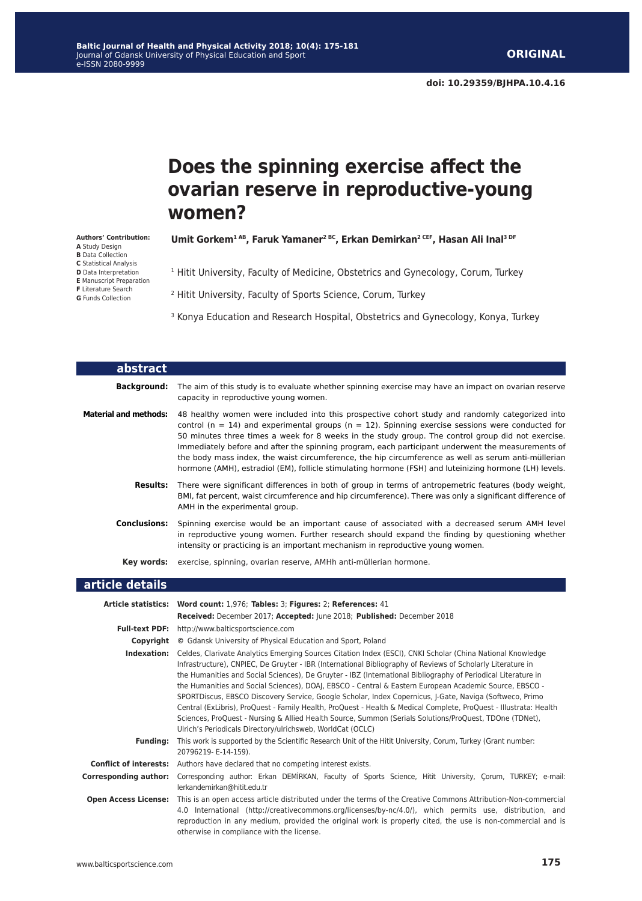# **Does the spinning exercise affect the ovarian reserve in reproductive-young women?**

**Umit Gorkem1 AB, Faruk Yamaner2 BC, Erkan Demi̇rkan2 CEF, Hasan Ali Inal3 DF**

<sup>1</sup> Hitit University, Faculty of Medicine, Obstetrics and Gynecology, Corum, Turkey

2 Hitit University, Faculty of Sports Science, Corum, Turkey

<sup>3</sup> Konya Education and Research Hospital, Obstetrics and Gynecology, Konya, Turkey

| abstract                     |                                                                                                                                                                                                                                                                                                                                                                                                                                                                                                                                                                                                                                        |
|------------------------------|----------------------------------------------------------------------------------------------------------------------------------------------------------------------------------------------------------------------------------------------------------------------------------------------------------------------------------------------------------------------------------------------------------------------------------------------------------------------------------------------------------------------------------------------------------------------------------------------------------------------------------------|
| <b>Background:</b>           | The aim of this study is to evaluate whether spinning exercise may have an impact on ovarian reserve<br>capacity in reproductive young women.                                                                                                                                                                                                                                                                                                                                                                                                                                                                                          |
| <b>Material and methods:</b> | 48 healthy women were included into this prospective cohort study and randomly categorized into<br>control ( $n = 14$ ) and experimental groups ( $n = 12$ ). Spinning exercise sessions were conducted for<br>50 minutes three times a week for 8 weeks in the study group. The control group did not exercise.<br>Immediately before and after the spinning program, each participant underwent the measurements of<br>the body mass index, the waist circumference, the hip circumference as well as serum anti-müllerian<br>hormone (AMH), estradiol (EM), follicle stimulating hormone (FSH) and luteinizing hormone (LH) levels. |
| <b>Results:</b>              | There were significant differences in both of group in terms of antropemetric features (body weight,<br>BMI, fat percent, waist circumference and hip circumference). There was only a significant difference of<br>AMH in the experimental group.                                                                                                                                                                                                                                                                                                                                                                                     |
| <b>Conclusions:</b>          | Spinning exercise would be an important cause of associated with a decreased serum AMH level<br>in reproductive young women. Further research should expand the finding by questioning whether<br>intensity or practicing is an important mechanism in reproductive young women.                                                                                                                                                                                                                                                                                                                                                       |
| Kev words:                   | exercise, spinning, ovarian reserve, AMHh anti-müllerian hormone.                                                                                                                                                                                                                                                                                                                                                                                                                                                                                                                                                                      |
| article details              |                                                                                                                                                                                                                                                                                                                                                                                                                                                                                                                                                                                                                                        |
|                              | Article statistics: Word count: 1,976; Tables: 3; Figures: 2; References: 41<br>Received: December 2017; Accepted: June 2018; Published: December 2018                                                                                                                                                                                                                                                                                                                                                                                                                                                                                 |

| <b>Full-text PDF:</b>         | http://www.balticsportscience.com                                                                                                                                                                                                                                                                                                                                                                                                                                                                                                                                                                                                                                                                                                                                                                                                                             |  |  |  |  |
|-------------------------------|---------------------------------------------------------------------------------------------------------------------------------------------------------------------------------------------------------------------------------------------------------------------------------------------------------------------------------------------------------------------------------------------------------------------------------------------------------------------------------------------------------------------------------------------------------------------------------------------------------------------------------------------------------------------------------------------------------------------------------------------------------------------------------------------------------------------------------------------------------------|--|--|--|--|
| Copyright                     | © Gdansk University of Physical Education and Sport, Poland                                                                                                                                                                                                                                                                                                                                                                                                                                                                                                                                                                                                                                                                                                                                                                                                   |  |  |  |  |
| Indexation:                   | Celdes, Clarivate Analytics Emerging Sources Citation Index (ESCI), CNKI Scholar (China National Knowledge<br>Infrastructure), CNPIEC, De Gruyter - IBR (International Bibliography of Reviews of Scholarly Literature in<br>the Humanities and Social Sciences), De Gruyter - IBZ (International Bibliography of Periodical Literature in<br>the Humanities and Social Sciences), DOAJ, EBSCO - Central & Eastern European Academic Source, EBSCO -<br>SPORTDiscus, EBSCO Discovery Service, Google Scholar, Index Copernicus, J-Gate, Naviga (Softweco, Primo<br>Central (ExLibris), ProQuest - Family Health, ProQuest - Health & Medical Complete, ProQuest - Illustrata: Health<br>Sciences, ProQuest - Nursing & Allied Health Source, Summon (Serials Solutions/ProQuest, TDOne (TDNet),<br>Ulrich's Periodicals Directory/ulrichsweb, WorldCat (OCLC) |  |  |  |  |
| Fundina:                      | This work is supported by the Scientific Research Unit of the Hitit University, Corum, Turkey (Grant number:<br>20796219- E-14-159).                                                                                                                                                                                                                                                                                                                                                                                                                                                                                                                                                                                                                                                                                                                          |  |  |  |  |
| <b>Conflict of interests:</b> | Authors have declared that no competing interest exists.                                                                                                                                                                                                                                                                                                                                                                                                                                                                                                                                                                                                                                                                                                                                                                                                      |  |  |  |  |
| Corresponding author:         | Corresponding author: Erkan DEMIRKAN, Faculty of Sports Science, Hitit University, Corum, TURKEY; e-mail:<br>lerkandemirkan@hitit.edu.tr                                                                                                                                                                                                                                                                                                                                                                                                                                                                                                                                                                                                                                                                                                                      |  |  |  |  |
| <b>Open Access License:</b>   | This is an open access article distributed under the terms of the Creative Commons Attribution-Non-commercial<br>International (http://creativecommons.org/licenses/by-nc/4.0/), which permits use, distribution, and<br>4.0<br>reproduction in any medium, provided the original work is properly cited, the use is non-commercial and is<br>otherwise in compliance with the license.                                                                                                                                                                                                                                                                                                                                                                                                                                                                       |  |  |  |  |

**Authors' Contribution: A** Study Design **B** Data Collection **C** Statistical Analysis **D** Data Interpretation **E** Manuscript Preparation **F** Literature Search **G** Funds Collection

L

L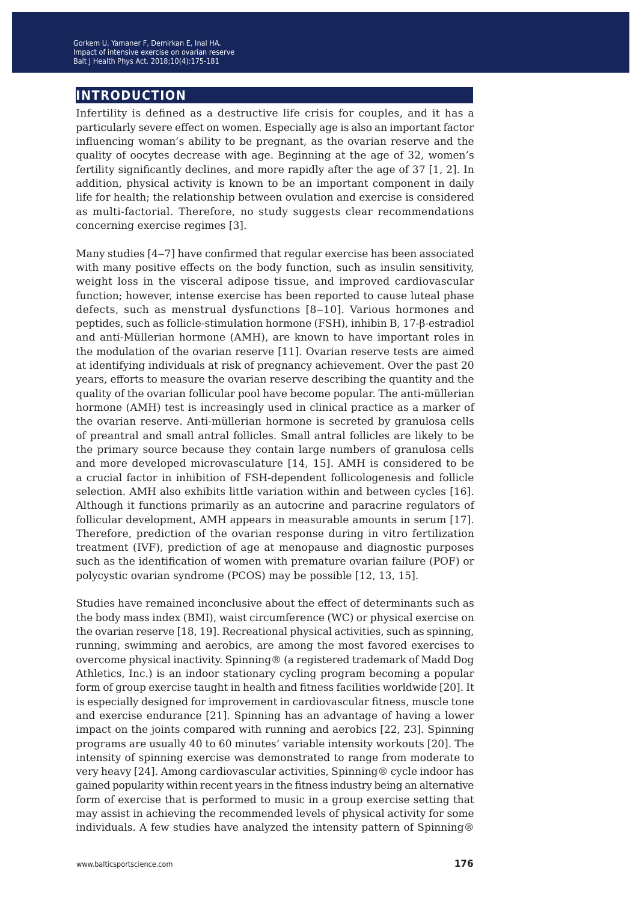#### **introduction**

Infertility is defined as a destructive life crisis for couples, and it has a particularly severe effect on women. Especially age is also an important factor influencing woman's ability to be pregnant, as the ovarian reserve and the quality of oocytes decrease with age. Beginning at the age of 32, women's fertility significantly declines, and more rapidly after the age of 37 [1, 2]. In addition, physical activity is known to be an important component in daily life for health; the relationship between ovulation and exercise is considered as multi-factorial. Therefore, no study suggests clear recommendations concerning exercise regimes [3].

Many studies [4-7] have confirmed that regular exercise has been associated with many positive effects on the body function, such as insulin sensitivity, weight loss in the visceral adipose tissue, and improved cardiovascular function; however, intense exercise has been reported to cause luteal phase defects, such as menstrual dysfunctions  $[8-10]$ . Various hormones and peptides, such as follicle-stimulation hormone (FSH), inhibin B, 17-β-estradiol and anti-Müllerian hormone (AMH), are known to have important roles in the modulation of the ovarian reserve [11]. Ovarian reserve tests are aimed at identifying individuals at risk of pregnancy achievement. Over the past 20 years, efforts to measure the ovarian reserve describing the quantity and the quality of the ovarian follicular pool have become popular. The anti-müllerian hormone (AMH) test is increasingly used in clinical practice as a marker of the ovarian reserve. Anti-müllerian hormone is secreted by granulosa cells of preantral and small antral follicles. Small antral follicles are likely to be the primary source because they contain large numbers of granulosa cells and more developed microvasculature [14, 15]. AMH is considered to be a crucial factor in inhibition of FSH-dependent follicologenesis and follicle selection. AMH also exhibits little variation within and between cycles [16]. Although it functions primarily as an autocrine and paracrine regulators of follicular development, AMH appears in measurable amounts in serum [17]. Therefore, prediction of the ovarian response during in vitro fertilization treatment (IVF), prediction of age at menopause and diagnostic purposes such as the identification of women with premature ovarian failure (POF) or polycystic ovarian syndrome (PCOS) may be possible [12, 13, 15].

Studies have remained inconclusive about the effect of determinants such as the body mass index (BMI), waist circumference (WC) or physical exercise on the ovarian reserve [18, 19]. Recreational physical activities, such as spinning, running, swimming and aerobics, are among the most favored exercises to overcome physical inactivity. Spinning® (a registered trademark of Madd Dog Athletics, Inc.) is an indoor stationary cycling program becoming a popular form of group exercise taught in health and fitness facilities worldwide [20]. It is especially designed for improvement in cardiovascular fitness, muscle tone and exercise endurance [21]. Spinning has an advantage of having a lower impact on the joints compared with running and aerobics [22, 23]. Spinning programs are usually 40 to 60 minutes' variable intensity workouts [20]. The intensity of spinning exercise was demonstrated to range from moderate to very heavy [24]. Among cardiovascular activities, Spinning® cycle indoor has gained popularity within recent years in the fitness industry being an alternative form of exercise that is performed to music in a group exercise setting that may assist in achieving the recommended levels of physical activity for some individuals. A few studies have analyzed the intensity pattern of Spinning®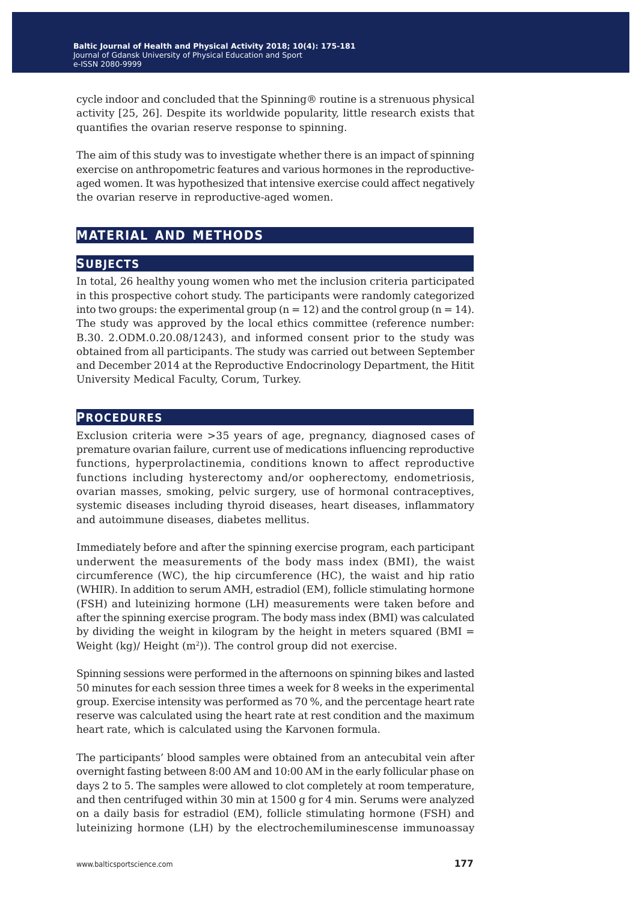cycle indoor and concluded that the Spinning® routine is a strenuous physical activity [25, 26]. Despite its worldwide popularity, little research exists that quantifies the ovarian reserve response to spinning.

The aim of this study was to investigate whether there is an impact of spinning exercise on anthropometric features and various hormones in the reproductiveaged women. It was hypothesized that intensive exercise could affect negatively the ovarian reserve in reproductive-aged women.

### **material and methods**

#### **subjects**

In total, 26 healthy young women who met the inclusion criteria participated in this prospective cohort study. The participants were randomly categorized into two groups: the experimental group ( $n = 12$ ) and the control group ( $n = 14$ ). The study was approved by the local ethics committee (reference number: B.30. 2.ODM.0.20.08/1243), and informed consent prior to the study was obtained from all participants. The study was carried out between September and December 2014 at the Reproductive Endocrinology Department, the Hitit University Medical Faculty, Corum, Turkey.

#### **procedures**

Exclusion criteria were >35 years of age, pregnancy, diagnosed cases of premature ovarian failure, current use of medications influencing reproductive functions, hyperprolactinemia, conditions known to affect reproductive functions including hysterectomy and/or oopherectomy, endometriosis, ovarian masses, smoking, pelvic surgery, use of hormonal contraceptives, systemic diseases including thyroid diseases, heart diseases, inflammatory and autoimmune diseases, diabetes mellitus.

Immediately before and after the spinning exercise program, each participant underwent the measurements of the body mass index (BMI), the waist circumference (WC), the hip circumference (HC), the waist and hip ratio (WHIR). In addition to serum AMH, estradiol (EM), follicle stimulating hormone (FSH) and luteinizing hormone (LH) measurements were taken before and after the spinning exercise program. The body mass index (BMI) was calculated by dividing the weight in kilogram by the height in meters squared (BMI = Weight (kg)/ Height (m<sup>2</sup>)). The control group did not exercise.

Spinning sessions were performed in the afternoons on spinning bikes and lasted 50 minutes for each session three times a week for 8 weeks in the experimental group. Exercise intensity was performed as 70 %, and the percentage heart rate reserve was calculated using the heart rate at rest condition and the maximum heart rate, which is calculated using the Karvonen formula.

The participants' blood samples were obtained from an antecubital vein after overnight fasting between 8:00 AM and 10:00 AM in the early follicular phase on days 2 to 5. The samples were allowed to clot completely at room temperature, and then centrifuged within 30 min at 1500 g for 4 min. Serums were analyzed on a daily basis for estradiol (EM), follicle stimulating hormone (FSH) and luteinizing hormone (LH) by the electrochemiluminescense immunoassay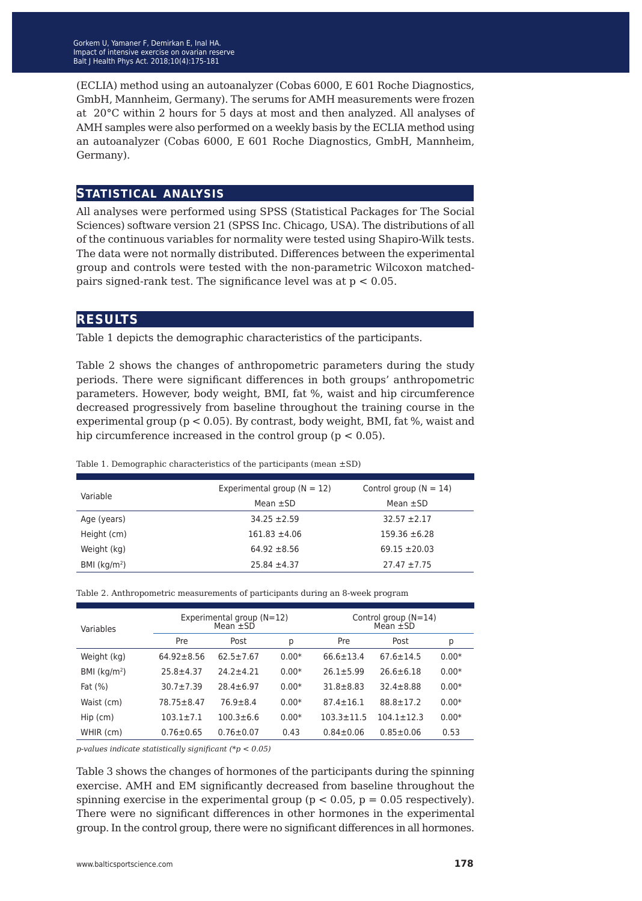(ECLIA) method using an autoanalyzer (Cobas 6000, E 601 Roche Diagnostics, GmbH, Mannheim, Germany). The serums for AMH measurements were frozen at 20°C within 2 hours for 5 days at most and then analyzed. All analyses of AMH samples were also performed on a weekly basis by the ECLIA method using an autoanalyzer (Cobas 6000, E 601 Roche Diagnostics, GmbH, Mannheim, Germany).

#### **statistical analysis**

All analyses were performed using SPSS (Statistical Packages for The Social Sciences) software version 21 (SPSS Inc. Chicago, USA). The distributions of all of the continuous variables for normality were tested using Shapiro-Wilk tests. The data were not normally distributed. Differences between the experimental group and controls were tested with the non-parametric Wilcoxon matchedpairs signed-rank test. The significance level was at  $p < 0.05$ .

#### **results**

Table 1 depicts the demographic characteristics of the participants.

Table 2 shows the changes of anthropometric parameters during the study periods. There were significant differences in both groups' anthropometric parameters. However, body weight, BMI, fat %, waist and hip circumference decreased progressively from baseline throughout the training course in the experimental group (p < 0.05). By contrast, body weight, BMI, fat %, waist and hip circumference increased in the control group ( $p < 0.05$ ).

Table 1. Demographic characteristics of the participants (mean  $\pm$ SD)

| Variable      | Experimental group $(N = 12)$ | Control group ( $N = 14$ ) |
|---------------|-------------------------------|----------------------------|
|               | Mean $\pm$ SD                 | Mean $\pm$ SD              |
| Age (years)   | $34.25 + 2.59$                | $32.57 + 2.17$             |
| Height (cm)   | $161.83 \pm 4.06$             | $159.36 \pm 6.28$          |
| Weight (kg)   | $64.92 \pm 8.56$              | $69.15 \pm 20.03$          |
| BMI $(kq/m2)$ | $25.84 \pm 4.37$              | $27.47 \pm 7.75$           |
|               |                               |                            |

Table 2. Anthropometric measurements of participants during an 8-week program

| Variables     | Experimental group (N=12)<br>Mean $\pm$ SD |                 |         | Control group $(N=14)$<br>Mean $\pm$ SD |                 |         |  |
|---------------|--------------------------------------------|-----------------|---------|-----------------------------------------|-----------------|---------|--|
|               | Pre                                        | Post            | р       | Pre                                     | Post            | р       |  |
| Weight (kg)   | $64.92 \pm 8.56$                           | $62.5 + 7.67$   | $0.00*$ | $66.6 + 13.4$                           | $67.6 + 14.5$   | $0.00*$ |  |
| BMI $(kq/m2)$ | $25.8 + 4.37$                              | $74.7 + 4.71$   | $0.00*$ | $26.1 + 5.99$                           | $26.6 \pm 6.18$ | $0.00*$ |  |
| Fat $(% )$    | $30.7 + 7.39$                              | $28.4 \pm 6.97$ | $0.00*$ | $31.8 + 8.83$                           | $32.4 \pm 8.88$ | $0.00*$ |  |
| Waist (cm)    | $78.75 + 8.47$                             | $76.9 + 8.4$    | $0.00*$ | $87.4 + 16.1$                           | $88.8 \pm 17.2$ | $0.00*$ |  |
| $Hip$ (cm)    | $103.1 + 7.1$                              | $100.3 + 6.6$   | $0.00*$ | $103.3 \pm 11.5$                        | $104.1 + 12.3$  | $0.00*$ |  |
| WHIR (cm)     | $0.76 \pm 0.65$                            | $0.76 \pm 0.07$ | 0.43    | $0.84 \pm 0.06$                         | $0.85 \pm 0.06$ | 0.53    |  |

*p-values indicate statistically significant (\*p < 0.05)*

Table 3 shows the changes of hormones of the participants during the spinning exercise. AMH and EM significantly decreased from baseline throughout the spinning exercise in the experimental group ( $p < 0.05$ ,  $p = 0.05$  respectively). There were no significant differences in other hormones in the experimental group. In the control group, there were no significant differences in all hormones.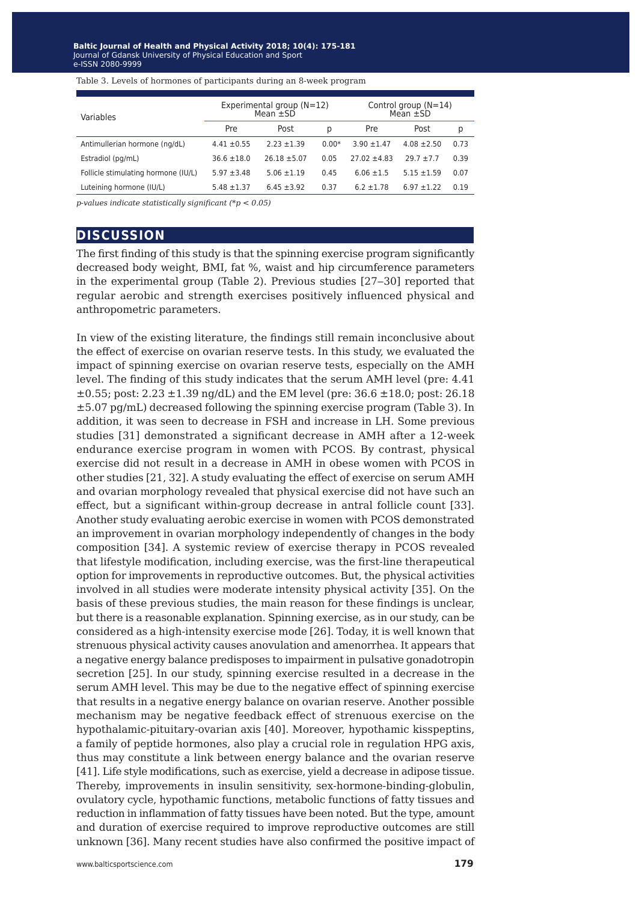| Variables                           | Experimental group $(N=12)$<br>Mean $\pm$ SD |                  |         | Control group $(N=14)$<br>Mean $\pm$ SD |                 |      |
|-------------------------------------|----------------------------------------------|------------------|---------|-----------------------------------------|-----------------|------|
|                                     | Pre                                          | Post             | D       | Pre                                     | Post            | р    |
| Antimullerian hormone (ng/dL)       | $4.41 \pm 0.55$                              | $2.23 + 1.39$    | $0.00*$ | $3.90 \pm 1.47$                         | $4.08 \pm 2.50$ | 0.73 |
| Estradiol (pg/mL)                   | $36.6 \pm 18.0$                              | $26.18 \pm 5.07$ | 0.05    | $27.02 + 4.83$                          | $79.7 + 7.7$    | 0.39 |
| Follicle stimulating hormone (IU/L) | $5.97 \pm 3.48$                              | $5.06 \pm 1.19$  | 0.45    | $6.06 \pm 1.5$                          | $5.15 \pm 1.59$ | 0.07 |
| Luteining hormone (IU/L)            | $5.48 \pm 1.37$                              | $6.45 \pm 3.92$  | 0.37    | $6.2 \pm 1.78$                          | $6.97 \pm 1.22$ | 0.19 |

Table 3. Levels of hormones of participants during an 8-week program

*p-values indicate statistically significant (\*p < 0.05)*

#### **discussion**

The first finding of this study is that the spinning exercise program significantly decreased body weight, BMI, fat %, waist and hip circumference parameters in the experimental group (Table 2). Previous studies [27‒30] reported that regular aerobic and strength exercises positively influenced physical and anthropometric parameters.

In view of the existing literature, the findings still remain inconclusive about the effect of exercise on ovarian reserve tests. In this study, we evaluated the impact of spinning exercise on ovarian reserve tests, especially on the AMH level. The finding of this study indicates that the serum AMH level (pre: 4.41  $\pm 0.55$ ; post: 2.23  $\pm 1.39$  ng/dL) and the EM level (pre: 36.6  $\pm 18.0$ ; post: 26.18 ±5.07 pg/mL) decreased following the spinning exercise program (Table 3). In addition, it was seen to decrease in FSH and increase in LH. Some previous studies [31] demonstrated a significant decrease in AMH after a 12-week endurance exercise program in women with PCOS. By contrast, physical exercise did not result in a decrease in AMH in obese women with PCOS in other studies [21, 32]. A study evaluating the effect of exercise on serum AMH and ovarian morphology revealed that physical exercise did not have such an effect, but a significant within-group decrease in antral follicle count [33]. Another study evaluating aerobic exercise in women with PCOS demonstrated an improvement in ovarian morphology independently of changes in the body composition [34]. A systemic review of exercise therapy in PCOS revealed that lifestyle modification, including exercise, was the first-line therapeutical option for improvements in reproductive outcomes. But, the physical activities involved in all studies were moderate intensity physical activity [35]. On the basis of these previous studies, the main reason for these findings is unclear, but there is a reasonable explanation. Spinning exercise, as in our study, can be considered as a high-intensity exercise mode [26]. Today, it is well known that strenuous physical activity causes anovulation and amenorrhea. It appears that a negative energy balance predisposes to impairment in pulsative gonadotropin secretion [25]. In our study, spinning exercise resulted in a decrease in the serum AMH level. This may be due to the negative effect of spinning exercise that results in a negative energy balance on ovarian reserve. Another possible mechanism may be negative feedback effect of strenuous exercise on the hypothalamic-pituitary-ovarian axis [40]. Moreover, hypothamic kisspeptins, a family of peptide hormones, also play a crucial role in regulation HPG axis, thus may constitute a link between energy balance and the ovarian reserve [41]. Life style modifications, such as exercise, yield a decrease in adipose tissue. Thereby, improvements in insulin sensitivity, sex-hormone-binding-globulin, ovulatory cycle, hypothamic functions, metabolic functions of fatty tissues and reduction in inflammation of fatty tissues have been noted. But the type, amount and duration of exercise required to improve reproductive outcomes are still unknown [36]. Many recent studies have also confirmed the positive impact of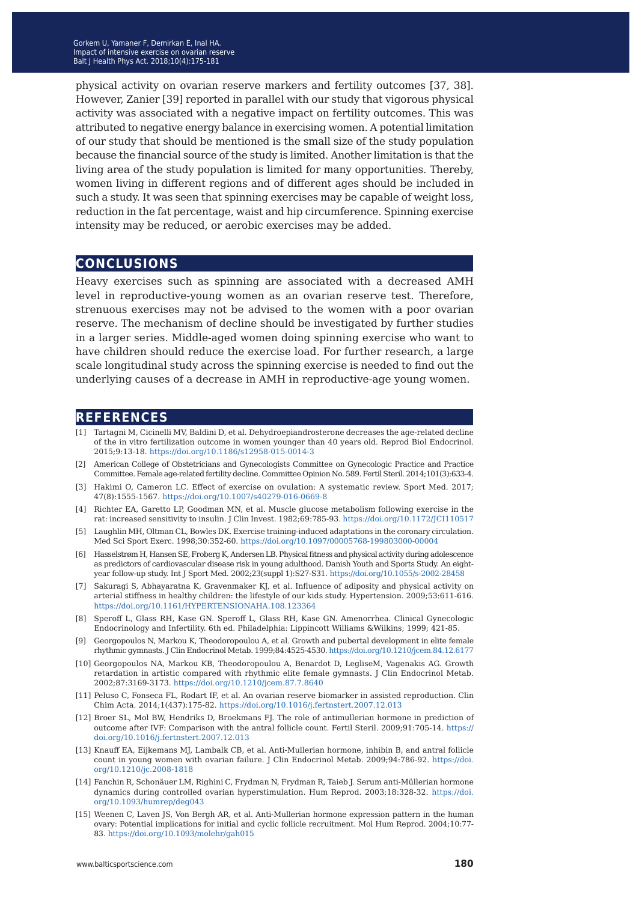physical activity on ovarian reserve markers and fertility outcomes [37, 38]. However, Zanier [39] reported in parallel with our study that vigorous physical activity was associated with a negative impact on fertility outcomes. This was attributed to negative energy balance in exercising women. A potential limitation of our study that should be mentioned is the small size of the study population because the financial source of the study is limited. Another limitation is that the living area of the study population is limited for many opportunities. Thereby, women living in different regions and of different ages should be included in such a study. It was seen that spinning exercises may be capable of weight loss, reduction in the fat percentage, waist and hip circumference. Spinning exercise intensity may be reduced, or aerobic exercises may be added.

#### **conclusions**

Heavy exercises such as spinning are associated with a decreased AMH level in reproductive-young women as an ovarian reserve test. Therefore, strenuous exercises may not be advised to the women with a poor ovarian reserve. The mechanism of decline should be investigated by further studies in a larger series. Middle-aged women doing spinning exercise who want to have children should reduce the exercise load. For further research, a large scale longitudinal study across the spinning exercise is needed to find out the underlying causes of a decrease in AMH in reproductive-age young women.

#### **references**

- [1] Tartagni M, Cicinelli MV, Baldini D, et al. Dehydroepiandrosterone decreases the age-related decline of the in vitro fertilization outcome in women younger than 40 years old. Reprod Biol Endocrinol. 2015;9:13-18. <https://doi.org/10.1186/s12958-015-0014-3>
- [2] American College of Obstetricians and Gynecologists Committee on Gynecologic Practice and Practice Committee. Female age-related fertility decline. Committee Opinion No. 589. Fertil Steril. 2014;101(3):633-4.
- [3] Hakimi O, Cameron LC. Effect of exercise on ovulation: A systematic review. Sport Med. 2017; 47(8):1555-1567. <https://doi.org/10.1007/s40279-016-0669-8>
- [4] Richter EA, Garetto LP, Goodman MN, et al. Muscle glucose metabolism following exercise in the rat: increased sensitivity to insulin. J Clin Invest. 1982;69:785-93.<https://doi.org/10.1172/JCI110517>
- [5] Laughlin MH, Oltman CL, Bowles DK. Exercise training-induced adaptations in the coronary circulation. Med Sci Sport Exerc. 1998;30:352-60.<https://doi.org/10.1097/00005768-199803000-00004>
- [6] Hasselstrøm H, Hansen SE, Froberg K, Andersen LB. Physical fitness and physical activity during adolescence as predictors of cardiovascular disease risk in young adulthood. Danish Youth and Sports Study. An eightyear follow-up study. Int J Sport Med. 2002;23(suppl 1):S27-S31.<https://doi.org/10.1055/s-2002-28458>
- [7] Sakuragi S, Abhayaratna K, Gravenmaker KJ, et al. Influence of adiposity and physical activity on arterial stiffness in healthy children: the lifestyle of our kids study. Hypertension. 2009;53:611-616. <https://doi.org/10.1161/HYPERTENSIONAHA.108.123364>
- [8] Speroff L, Glass RH, Kase GN. Speroff L, Glass RH, Kase GN. Amenorrhea. Clinical Gynecologic Endocrinology and Infertility. 6th ed. Philadelphia: Lippincott Williams &Wilkins; 1999; 421-85.
- [9] Georgopoulos N, Markou K, Theodoropoulou A, et al. Growth and pubertal development in elite female rhythmic gymnasts. J Clin Endocrinol Metab. 1999;84:4525-4530.<https://doi.org/10.1210/jcem.84.12.6177>
- [10] Georgopoulos NA, Markou KB, Theodoropoulou A, Benardot D, LegliseM, Vagenakis AG. Growth retardation in artistic compared with rhythmic elite female gymnasts. J Clin Endocrinol Metab. 2002;87:3169-3173.<https://doi.org/10.1210/jcem.87.7.8640>
- [11] Peluso C, Fonseca FL, Rodart IF, et al. An ovarian reserve biomarker in assisted reproduction. Clin Chim Acta. 2014;1(437):175-82.<https://doi.org/10.1016/j.fertnstert.2007.12.013>
- [12] Broer SL, Mol BW, Hendriks D, Broekmans FJ. The role of antimullerian hormone in prediction of outcome after IVF: Comparison with the antral follicle count. Fertil Steril. 2009;91:705-14. [https://](https://doi.org/10.1016/j.fertnstert.2007.12.013) [doi.org/10.1016/j.fertnstert.2007.12.013](https://doi.org/10.1016/j.fertnstert.2007.12.013)
- [13] Knauff EA, Eijkemans MJ, Lambalk CB, et al. Anti-Mullerian hormone, inhibin B, and antral follicle count in young women with ovarian failure. J Clin Endocrinol Metab. 2009;94:786-92. [https://doi.](https://doi.org/10.1210/jc.2008-1818) [org/10.1210/jc.2008-1818](https://doi.org/10.1210/jc.2008-1818)
- [14] Fanchin R, Schonäuer LM, Righini C, Frydman N, Frydman R, Taieb J. Serum anti-Müllerian hormone dynamics during controlled ovarian hyperstimulation. Hum Reprod. 2003;18:328-32. [https://doi.](https://doi.org/10.1093/humrep/deg043) [org/10.1093/humrep/deg043](https://doi.org/10.1093/humrep/deg043)
- [15] Weenen C, Laven JS, Von Bergh AR, et al. Anti-Mullerian hormone expression pattern in the human ovary: Potential implications for initial and cyclic follicle recruitment. Mol Hum Reprod. 2004;10:77- 83.<https://doi.org/10.1093/molehr/gah015>